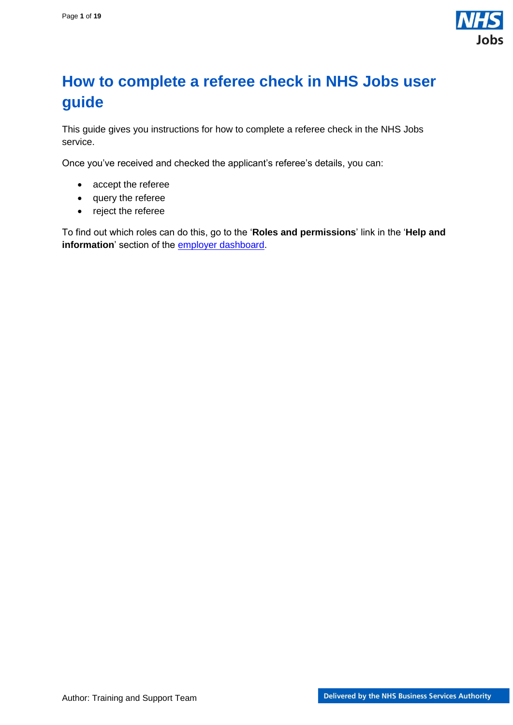

## <span id="page-0-0"></span>**How to complete a referee check in NHS Jobs user guide**

This guide gives you instructions for how to complete a referee check in the NHS Jobs service.

Once you've received and checked the applicant's referee's details, you can:

- accept the referee
- query the referee
- reject the referee

To find out which roles can do this, go to the '**Roles and permissions**' link in the '**Help and**  information' section of the **employer dashboard**.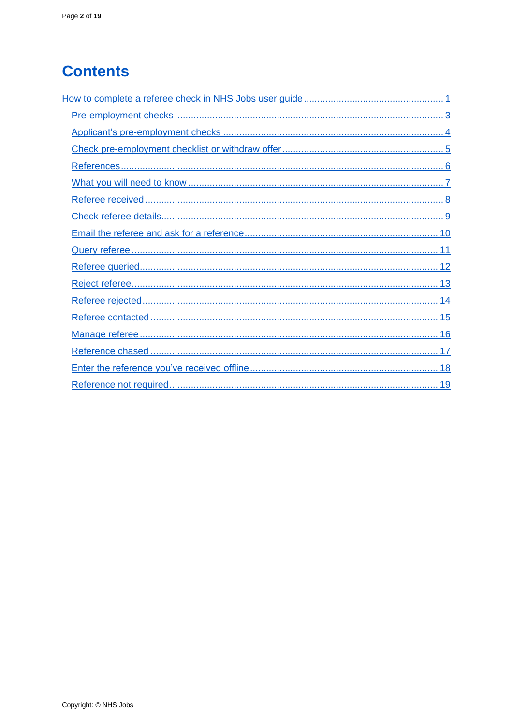# **Contents**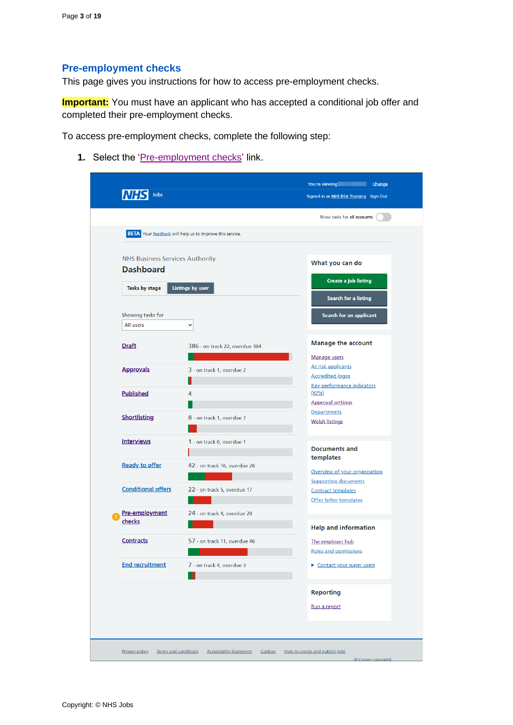## <span id="page-2-0"></span>**Pre-employment checks**

This page gives you instructions for how to access pre-employment checks.

**Important:** You must have an applicant who has accepted a conditional job offer and completed their pre-employment checks.

To access pre-employment checks, complete the following step:

1. Select the ['Pre-employment checks'](#page-3-0) link.

|                                        | <b>BETA</b> Your feedback will help us to improve this service. | Show tasks for all accounts                                  |
|----------------------------------------|-----------------------------------------------------------------|--------------------------------------------------------------|
|                                        |                                                                 |                                                              |
| <b>NHS Business Services Authority</b> |                                                                 | What you can do                                              |
| <b>Dashboard</b>                       |                                                                 |                                                              |
| Tasks by stage                         | <b>Listings by user</b>                                         | Create a job listing                                         |
|                                        |                                                                 | Search for a listing                                         |
| Showing tasks for                      |                                                                 | Search for an applicant                                      |
| All users                              | $\check{~}$                                                     |                                                              |
| <b>Draft</b>                           | 386 - on track 22, overdue 364                                  | <b>Manage the account</b>                                    |
|                                        |                                                                 | Manage users                                                 |
| <b>Approvals</b>                       | 3 - on track 1, overdue 2                                       | At risk applicants                                           |
|                                        |                                                                 | <b>Accredited logos</b><br><b>Key performance indicators</b> |
| <b>Published</b>                       | 4                                                               | (KPIs)                                                       |
|                                        |                                                                 | <b>Approval settings</b>                                     |
| <b>Shortlisting</b>                    | 8 - on track 1, overdue 7                                       | <b>Departments</b><br><b>Welsh listings</b>                  |
|                                        |                                                                 |                                                              |
| <b>Interviews</b>                      | 1 - on track 0, overdue 1                                       |                                                              |
|                                        |                                                                 | <b>Documents and</b><br>templates                            |
| <b>Ready to offer</b>                  | 42 - on track 16, overdue 26                                    | Overview of your organisation                                |
|                                        |                                                                 | <b>Supporting documents</b>                                  |
| <b>Conditional offers</b>              | 22 - on track 5, overdue 17                                     | <b>Contract templates</b>                                    |
|                                        |                                                                 | Offer letter templates                                       |
| Pre-employment<br>checks               | 24 - on track 4, overdue 20                                     |                                                              |
|                                        |                                                                 | <b>Help and information</b>                                  |
| <b>Contracts</b>                       | 57 - on track 11, overdue 46                                    | The employer hub                                             |
|                                        |                                                                 | Roles and permissions                                        |
| <b>End recruitment</b>                 | 7 - on track 4, overdue 3                                       | Contact your super users                                     |
|                                        |                                                                 | <b>Reporting</b>                                             |
|                                        |                                                                 |                                                              |
|                                        |                                                                 | Run a report                                                 |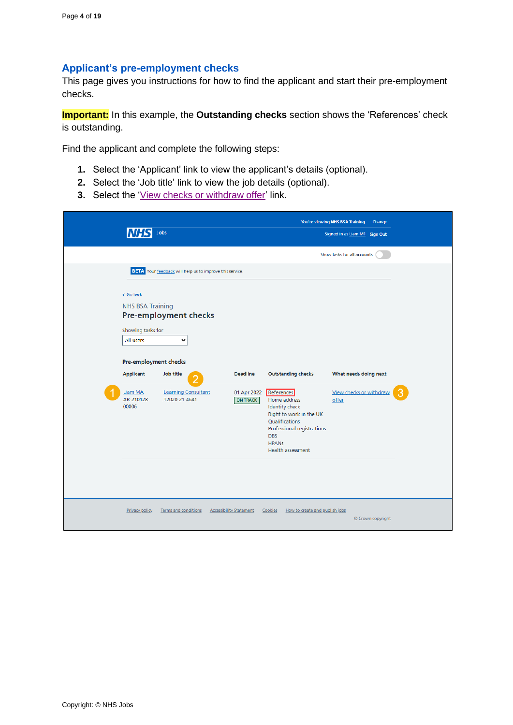## <span id="page-3-0"></span>**Applicant's pre-employment checks**

This page gives you instructions for how to find the applicant and start their pre-employment checks.

**Important:** In this example, the **Outstanding checks** section shows the 'References' check is outstanding.

Find the applicant and complete the following steps:

- **1.** Select the 'Applicant' link to view the applicant's details (optional).
- **2.** Select the 'Job title' link to view the job details (optional).
- **3.** Select the ['View checks or withdraw offer'](#page-4-0) link.

|                                                                                                                                                       | Jobs                                                                                                                                               |                                                   |                                                                                                                                                                                                                       | You're viewing NHS BSA Training<br>Change<br>Signed in as Liam M1 Sign Out |  |
|-------------------------------------------------------------------------------------------------------------------------------------------------------|----------------------------------------------------------------------------------------------------------------------------------------------------|---------------------------------------------------|-----------------------------------------------------------------------------------------------------------------------------------------------------------------------------------------------------------------------|----------------------------------------------------------------------------|--|
|                                                                                                                                                       |                                                                                                                                                    |                                                   |                                                                                                                                                                                                                       | Show tasks for all accounts                                                |  |
| < Go back<br><b>NHS BSA Training</b><br>Showing tasks for<br>All users<br>Pre-employment checks<br><b>Applicant</b><br>Liam MA<br>AR-210128-<br>00006 | BETA Your feedback will help us to improve this service.<br>Pre-employment checks<br>v<br>Job title<br><b>Learning Consultant</b><br>T2020-21-4641 | <b>Deadline</b><br>01 Apr 2022<br><b>ON TRACK</b> | <b>Outstanding checks</b><br>References<br>Home address<br><b>Identity check</b><br>Right to work in the UK<br>Qualifications<br>Professional registrations<br><b>DBS</b><br><b>HPANs</b><br><b>Health assessment</b> | What needs doing next<br>View checks or withdraw<br>offer                  |  |
| Privacy policy                                                                                                                                        | Terms and conditions                                                                                                                               | <b>Accessibility Statement</b>                    | Cookies<br>How to create and publish jobs                                                                                                                                                                             | © Crown copyright                                                          |  |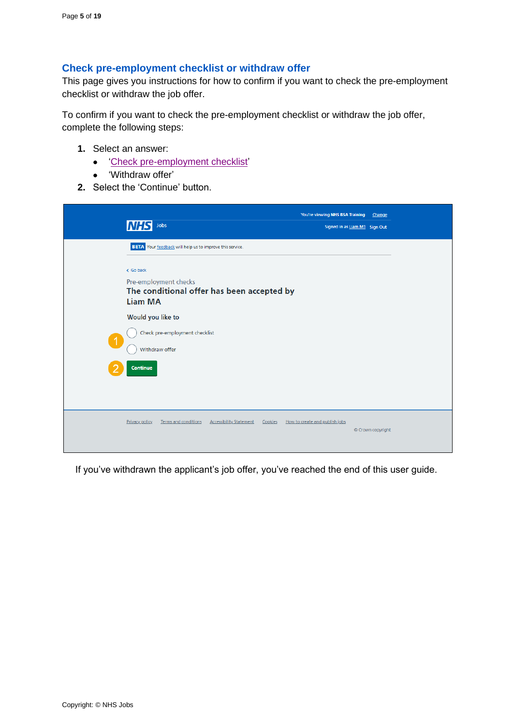## <span id="page-4-0"></span>**Check pre-employment checklist or withdraw offer**

This page gives you instructions for how to confirm if you want to check the pre-employment checklist or withdraw the job offer.

To confirm if you want to check the pre-employment checklist or withdraw the job offer, complete the following steps:

- **1.** Select an answer:
	- ['Check pre-employment checklist'](#page-5-0)
	- 'Withdraw offer'
- **2.** Select the 'Continue' button.

|                      | Jobs<br><b>INHS</b>                                                                        | You're viewing NHS BSA Training<br>Signed in as Liam M1 Sign Out | Change            |
|----------------------|--------------------------------------------------------------------------------------------|------------------------------------------------------------------|-------------------|
|                      | BETA Your feedback will help us to improve this service.<br>< Go back                      |                                                                  |                   |
|                      | Pre-employment checks<br>The conditional offer has been accepted by<br><b>Liam MA</b>      |                                                                  |                   |
| $\blacktriangleleft$ | Would you like to<br>Check pre-employment checklist<br>Withdraw offer                      |                                                                  |                   |
|                      | Continue                                                                                   |                                                                  |                   |
|                      | <b>Terms and conditions</b><br><b>Accessibility Statement</b><br>Privacy policy<br>Cookies | How to create and publish jobs                                   | © Crown copyright |

If you've withdrawn the applicant's job offer, you've reached the end of this user guide.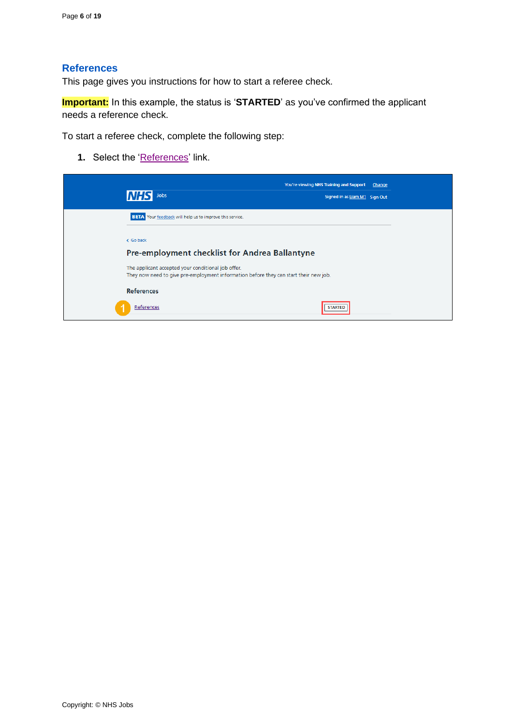#### <span id="page-5-0"></span>**References**

This page gives you instructions for how to start a referee check.

**Important:** In this example, the status is '**STARTED**' as you've confirmed the applicant needs a reference check.

To start a referee check, complete the following step:

1. Select the ['References'](#page-6-0) link.

| <b>Jobs</b>                                                                                                                                 | You're viewing NHS Training and Support<br>Change<br>Signed in as Liam M1 Sign Out |
|---------------------------------------------------------------------------------------------------------------------------------------------|------------------------------------------------------------------------------------|
| <b>BETA</b> Your feedback will help us to improve this service.                                                                             |                                                                                    |
| < Go back                                                                                                                                   |                                                                                    |
| Pre-employment checklist for Andrea Ballantyne                                                                                              |                                                                                    |
| The applicant accepted your conditional job offer.<br>They now need to give pre-employment information before they can start their new job. |                                                                                    |
| <b>References</b>                                                                                                                           |                                                                                    |
| References                                                                                                                                  | <b>STARTED</b>                                                                     |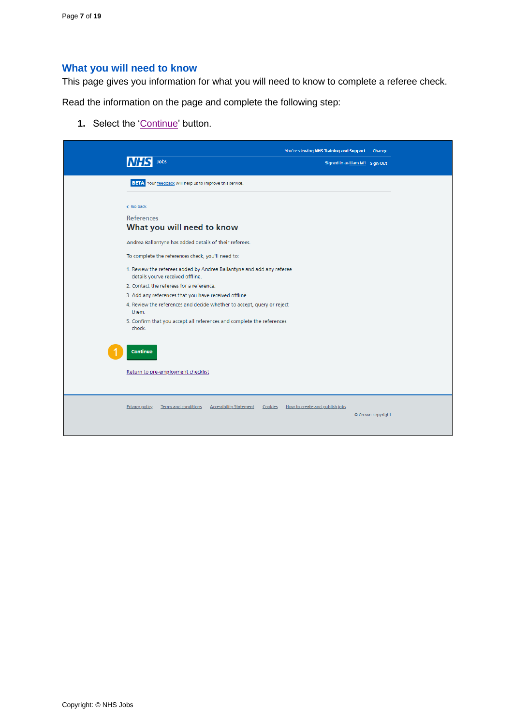#### <span id="page-6-0"></span>**What you will need to know**

This page gives you information for what you will need to know to complete a referee check.

Read the information on the page and complete the following step:

1. Select the ['Continue'](#page-7-0) button.

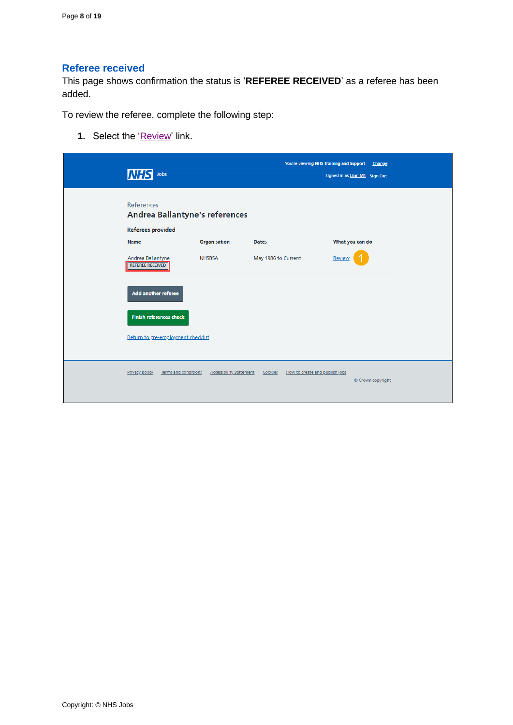## <span id="page-7-0"></span>**Referee received**

This page shows confirmation the status is '**REFEREE RECEIVED**' as a referee has been added.

To review the referee, complete the following step:

**1.** Select the ['Review'](#page-8-0) link.

| <b>INHS</b><br>Jobs                                                                    |                                |                     | You're viewing NHS Training and Support<br>Change<br>Signed in as Liam M1 Sign Out |
|----------------------------------------------------------------------------------------|--------------------------------|---------------------|------------------------------------------------------------------------------------|
| <b>References</b><br><b>Andrea Ballantyne's references</b><br><b>Referees provided</b> |                                |                     |                                                                                    |
| Name                                                                                   | Organisation                   | Dates               | What you can do                                                                    |
| Andrea Ballantyne<br><b>REFEREE RECEIVED</b>                                           | <b>NHSBSA</b>                  | May 1986 to Current | Review                                                                             |
| Add another referee                                                                    |                                |                     |                                                                                    |
| <b>Finish references check</b>                                                         |                                |                     |                                                                                    |
| Return to pre-employment checklist                                                     |                                |                     |                                                                                    |
| Privacy policy<br>Terms and conditions                                                 | <b>Accessibility Statement</b> | Cookies             | How to create and publish jobs<br>© Crown copyright                                |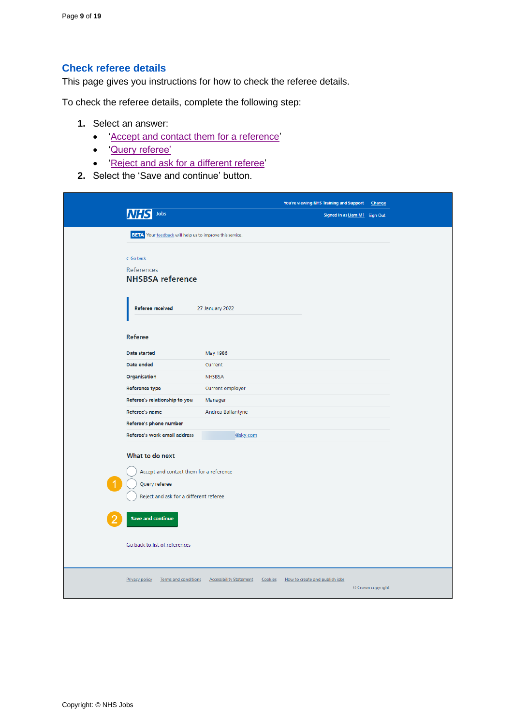## <span id="page-8-0"></span>**Check referee details**

This page gives you instructions for how to check the referee details.

To check the referee details, complete the following step:

- **1.** Select an answer:
	- ['Accept and contact them for a reference'](#page-9-0)
	- ['Query referee'](#page-10-0)
	- ['Reject and ask for a different referee'](#page-12-0)
- **2.** Select the 'Save and continue' button.

|                                                                                                                                                   |                                           | You're viewing NHS Training and Support Change |                   |
|---------------------------------------------------------------------------------------------------------------------------------------------------|-------------------------------------------|------------------------------------------------|-------------------|
| Jobs                                                                                                                                              |                                           | Signed in as Liam M1 Sign Out                  |                   |
| <b>BETA</b> Your feedback will help us to improve this service.                                                                                   |                                           |                                                |                   |
| < Go back<br><b>References</b><br><b>NHSBSA</b> reference                                                                                         |                                           |                                                |                   |
| <b>Referee received</b>                                                                                                                           | 27 January 2022                           |                                                |                   |
| <b>Referee</b>                                                                                                                                    |                                           |                                                |                   |
| Date started                                                                                                                                      | May 1986                                  |                                                |                   |
| Date ended                                                                                                                                        | Current                                   |                                                |                   |
| Organisation                                                                                                                                      | <b>NHSBSA</b>                             |                                                |                   |
| <b>Reference type</b>                                                                                                                             | Current employer                          |                                                |                   |
| Referee's relationship to you                                                                                                                     | Manager                                   |                                                |                   |
| <b>Referee's name</b>                                                                                                                             | Andrea Ballantyne                         |                                                |                   |
| Referee's phone number                                                                                                                            |                                           |                                                |                   |
| Referee's work email address                                                                                                                      | @sky.com                                  |                                                |                   |
| What to do next<br>Accept and contact them for a reference<br>Query referee<br>Reject and ask for a different referee<br><b>Save and continue</b> |                                           |                                                |                   |
| Go back to list of references<br><b>Privacy policy</b><br>Terms and conditions                                                                    | <b>Accessibility Statement</b><br>Cookies | How to create and publish jobs                 |                   |
|                                                                                                                                                   |                                           |                                                | © Crown copyright |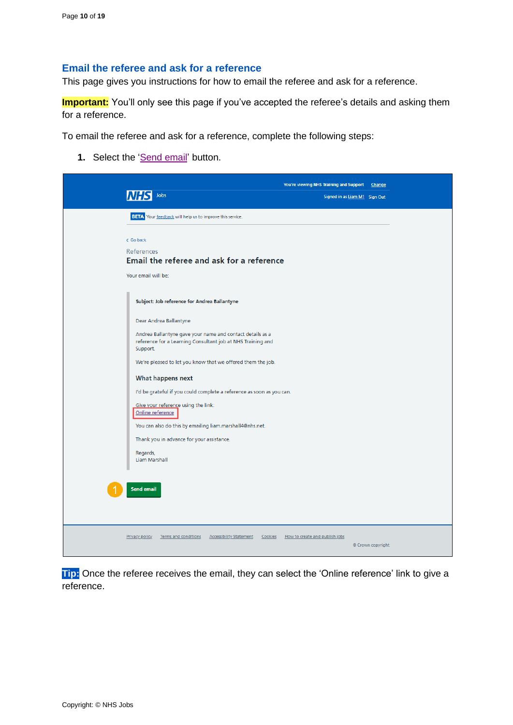#### <span id="page-9-0"></span>**Email the referee and ask for a reference**

This page gives you instructions for how to email the referee and ask for a reference.

**Important:** You'll only see this page if you've accepted the referee's details and asking them for a reference.

To email the referee and ask for a reference, complete the following steps:

1. Select the ['Send email'](#page-14-0) button.



**Tip:** Once the referee receives the email, they can select the 'Online reference' link to give a reference.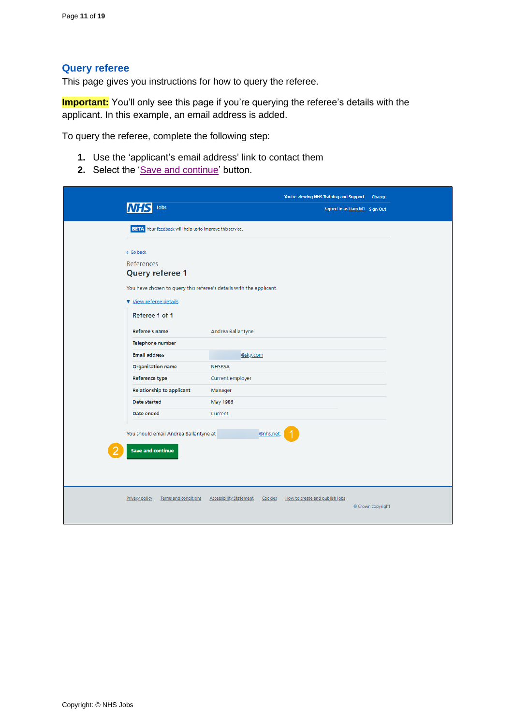## <span id="page-10-0"></span>**Query referee**

This page gives you instructions for how to query the referee.

**Important:** You'll only see this page if you're querying the referee's details with the applicant. In this example, an email address is added.

To query the referee, complete the following step:

- **1.** Use the 'applicant's email address' link to contact them
- 2. Select the ['Save and continue'](#page-11-0) button.

|                                                                     |                                |           | You're viewing NHS Training and Support | Change            |
|---------------------------------------------------------------------|--------------------------------|-----------|-----------------------------------------|-------------------|
| Jobs                                                                |                                |           | Signed in as Liam M1 Sign Out           |                   |
| <b>BETA</b> Your feedback will help us to improve this service.     |                                |           |                                         |                   |
|                                                                     |                                |           |                                         |                   |
| < Go back                                                           |                                |           |                                         |                   |
| <b>References</b>                                                   |                                |           |                                         |                   |
| Query referee 1                                                     |                                |           |                                         |                   |
| You have chosen to query this referee's details with the applicant. |                                |           |                                         |                   |
| View referee details                                                |                                |           |                                         |                   |
| Referee 1 of 1                                                      |                                |           |                                         |                   |
| Referee's name                                                      | Andrea Ballantyne              |           |                                         |                   |
| Telephone number                                                    |                                |           |                                         |                   |
| <b>Email address</b>                                                | @sky.com                       |           |                                         |                   |
| <b>Organisation name</b>                                            | <b>NHSBSA</b>                  |           |                                         |                   |
| <b>Reference type</b>                                               | Current employer               |           |                                         |                   |
| <b>Relationship to applicant</b>                                    | Manager                        |           |                                         |                   |
| Date started                                                        | May 1986                       |           |                                         |                   |
| Date ended                                                          | Current                        |           |                                         |                   |
|                                                                     |                                |           |                                         |                   |
| You should email Andrea Ballantyne at                               |                                | @nhs.net. |                                         |                   |
|                                                                     |                                |           |                                         |                   |
| <b>Save and continue</b>                                            |                                |           |                                         |                   |
|                                                                     |                                |           |                                         |                   |
|                                                                     |                                |           |                                         |                   |
|                                                                     |                                |           |                                         |                   |
| <b>Privacy policy</b><br>Terms and conditions                       | <b>Accessibility Statement</b> | Cookies   | How to create and publish jobs          | © Crown copyright |
|                                                                     |                                |           |                                         |                   |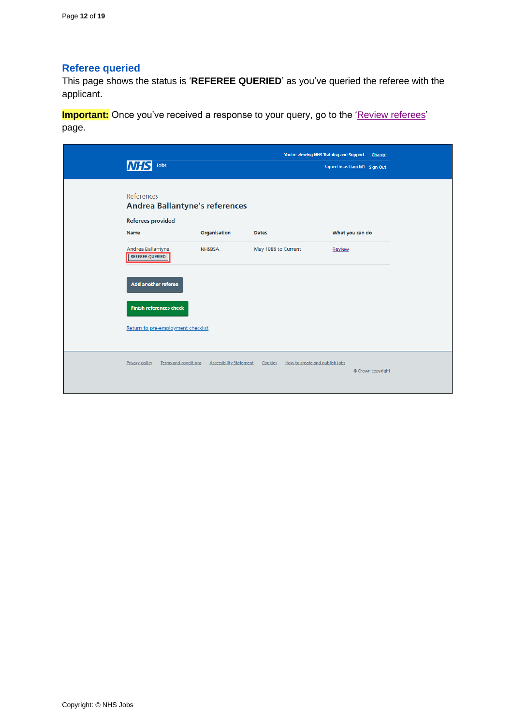## <span id="page-11-0"></span>**Referee queried**

This page shows the status is '**REFEREE QUERIED**' as you've queried the referee with the applicant.

**Important:** Once you've received a response to your query, go to the ['Review referees'](#page-7-0) page.

| <b>INHS</b><br>Jobs                                                             |                                | You're viewing NHS Training and Support   | Change<br>Signed in as Liam M1 Sign Out |
|---------------------------------------------------------------------------------|--------------------------------|-------------------------------------------|-----------------------------------------|
| <b>References</b><br>Andrea Ballantyne's references<br><b>Referees provided</b> |                                |                                           |                                         |
| Name<br>Andrea Ballantyne                                                       | Organisation<br><b>NHSBSA</b>  | <b>Dates</b><br>May 1986 to Current       | What you can do<br>Review               |
| <b>REFEREE QUERIED</b>                                                          |                                |                                           |                                         |
| Add another referee                                                             |                                |                                           |                                         |
| <b>Finish references check</b>                                                  |                                |                                           |                                         |
| Return to pre-employment checklist                                              |                                |                                           |                                         |
| Privacy policy<br>Terms and conditions                                          | <b>Accessibility Statement</b> | How to create and publish jobs<br>Cookies | © Crown copyright                       |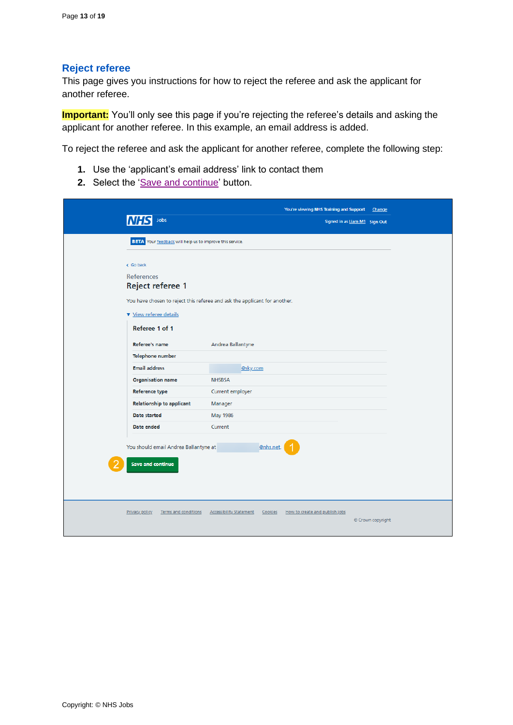## <span id="page-12-0"></span>**Reject referee**

This page gives you instructions for how to reject the referee and ask the applicant for another referee.

**Important:** You'll only see this page if you're rejecting the referee's details and asking the applicant for another referee. In this example, an email address is added.

To reject the referee and ask the applicant for another referee, complete the following step:

- **1.** Use the 'applicant's email address' link to contact them
- 2. Select the ['Save and continue'](#page-13-0) button.

|                                                          | You're viewing NHS Training and Support                                     | Change                        |
|----------------------------------------------------------|-----------------------------------------------------------------------------|-------------------------------|
| Jobs                                                     |                                                                             | Signed in as Liam M1 Sign Out |
| BETA Your feedback will help us to improve this service. |                                                                             |                               |
|                                                          |                                                                             |                               |
| < Go back                                                |                                                                             |                               |
| References                                               |                                                                             |                               |
| Reject referee 1                                         |                                                                             |                               |
|                                                          | You have chosen to reject this referee and ask the applicant for another.   |                               |
| View referee details                                     |                                                                             |                               |
| Referee 1 of 1                                           |                                                                             |                               |
|                                                          |                                                                             |                               |
| Referee's name                                           | Andrea Ballantyne                                                           |                               |
| Telephone number                                         |                                                                             |                               |
| <b>Email address</b>                                     | @sky.com                                                                    |                               |
| <b>Organisation name</b>                                 | <b>NHSBSA</b>                                                               |                               |
| <b>Reference type</b>                                    | Current employer                                                            |                               |
| <b>Relationship to applicant</b>                         | Manager                                                                     |                               |
| Date started                                             | May 1986                                                                    |                               |
| Date ended                                               | Current                                                                     |                               |
| You should email Andrea Ballantyne at                    | @nhs.net.                                                                   |                               |
|                                                          |                                                                             |                               |
| <b>Save and continue</b>                                 |                                                                             |                               |
|                                                          |                                                                             |                               |
|                                                          |                                                                             |                               |
|                                                          |                                                                             |                               |
| <b>Privacy policy</b><br>Terms and conditions            | <b>Accessibility Statement</b><br>Cookies<br>How to create and publish jobs | © Crown copyright             |
|                                                          |                                                                             |                               |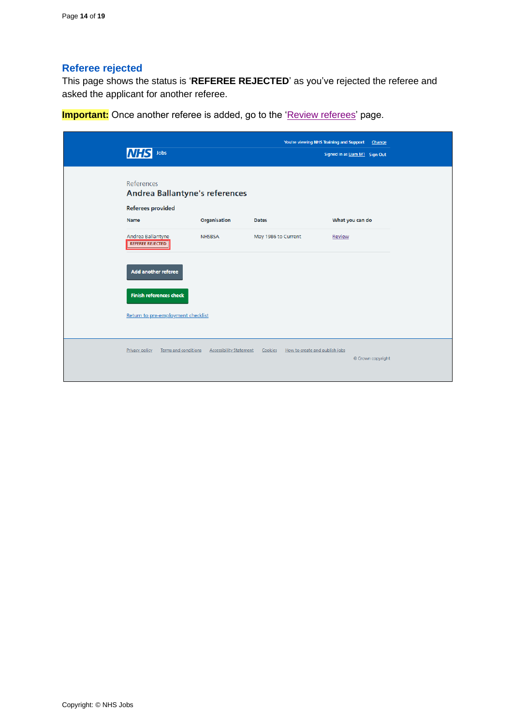## <span id="page-13-0"></span>**Referee rejected**

This page shows the status is '**REFEREE REJECTED**' as you've rejected the referee and asked the applicant for another referee.

**Important:** Once another referee is added, go to the ['Review referees'](#page-7-0) page.

| Jobs<br><b>NHS</b>                                                                     |                                |                                           | You're viewing NHS Training and Support<br>Change<br>Signed in as Liam M1 Sign Out |
|----------------------------------------------------------------------------------------|--------------------------------|-------------------------------------------|------------------------------------------------------------------------------------|
| <b>References</b><br><b>Andrea Ballantyne's references</b><br><b>Referees provided</b> |                                |                                           |                                                                                    |
| Name                                                                                   | Organisation                   | <b>Dates</b>                              | What you can do                                                                    |
| Andrea Ballantyne<br><b>REFEREE REJECTED</b>                                           | <b>NHSBSA</b>                  | May 1986 to Current                       | Review                                                                             |
| <b>Add another referee</b>                                                             |                                |                                           |                                                                                    |
| <b>Finish references check</b>                                                         |                                |                                           |                                                                                    |
| Return to pre-employment checklist                                                     |                                |                                           |                                                                                    |
| Terms and conditions<br>Privacy policy                                                 | <b>Accessibility Statement</b> | How to create and publish jobs<br>Cookies |                                                                                    |
|                                                                                        |                                |                                           |                                                                                    |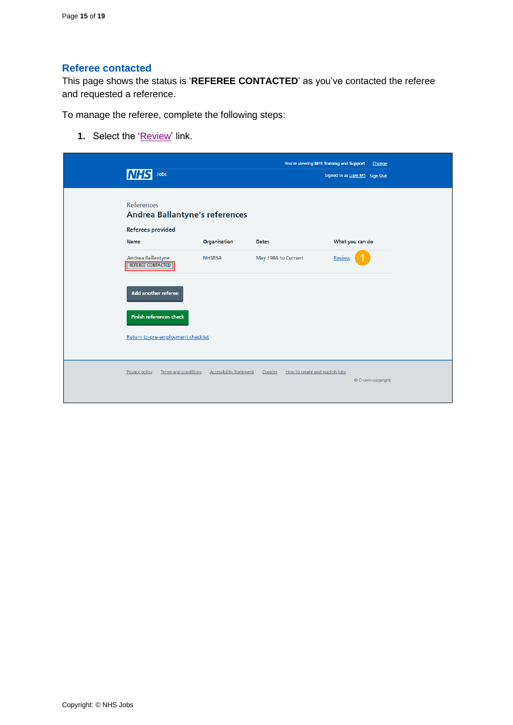## <span id="page-14-0"></span>**Referee contacted**

This page shows the status is '**REFEREE CONTACTED**' as you've contacted the referee and requested a reference.

To manage the referee, complete the following steps:

**1.** Select the ['Review'](#page-15-0) link.

| INH.<br>Jobs                                                                    |                                | You're viewing NHS Training and Support   | Signed in as Liam M1 Sign Out | Change            |
|---------------------------------------------------------------------------------|--------------------------------|-------------------------------------------|-------------------------------|-------------------|
| References<br><b>Andrea Ballantyne's references</b><br><b>Referees provided</b> |                                |                                           |                               |                   |
| Name                                                                            | Organisation                   | <b>Dates</b>                              | What you can do               |                   |
| Andrea Ballantyne<br><b>REFEREE CONTACTED</b>                                   | <b>NHSBSA</b>                  | May 1986 to Current                       | Review                        |                   |
| <b>Add another referee</b>                                                      |                                |                                           |                               |                   |
| <b>Finish references check</b>                                                  |                                |                                           |                               |                   |
| Return to pre-employment checklist                                              |                                |                                           |                               |                   |
| Privacy policy<br>Terms and conditions                                          | <b>Accessibility Statement</b> | Cookies<br>How to create and publish jobs |                               | © Crown copyright |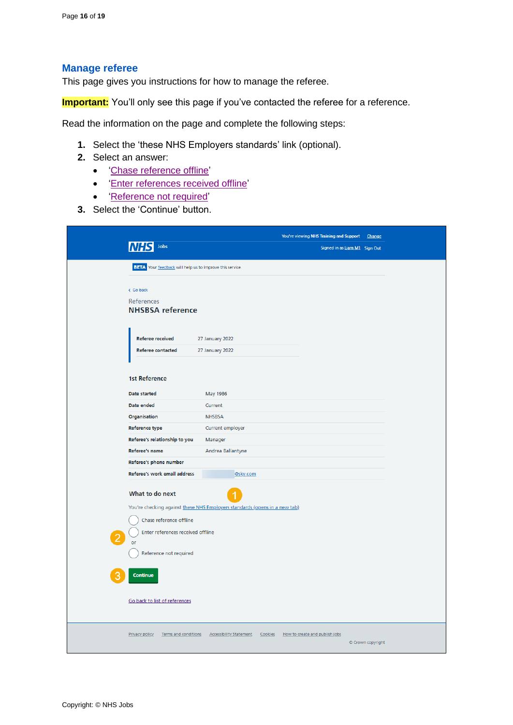#### <span id="page-15-0"></span>**Manage referee**

This page gives you instructions for how to manage the referee.

**Important:** You'll only see this page if you've contacted the referee for a reference.

Read the information on the page and complete the following steps:

- **1.** Select the 'these NHS Employers standards' link (optional).
- **2.** Select an answer:
	- ['Chase reference offline'](#page-16-0)
	- ['Enter references received offline'](#page-17-0)
	- ['Reference not required'](#page-18-0)
- **3.** Select the 'Continue' button.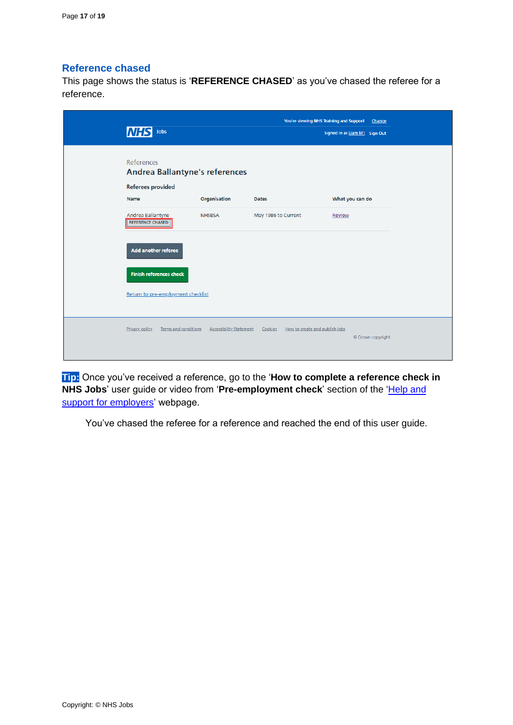## <span id="page-16-0"></span>**Reference chased**

This page shows the status is '**REFERENCE CHASED**' as you've chased the referee for a reference.

| Jobs<br>INHS                                 |                                                        |                     | You're viewing NHS Training and Support Change<br>Signed in as Liam M1 Sign Out |
|----------------------------------------------|--------------------------------------------------------|---------------------|---------------------------------------------------------------------------------|
|                                              |                                                        |                     |                                                                                 |
| References                                   |                                                        |                     |                                                                                 |
|                                              | <b>Andrea Ballantyne's references</b>                  |                     |                                                                                 |
| <b>Referees provided</b>                     |                                                        |                     |                                                                                 |
| Name                                         | Organisation                                           | <b>Dates</b>        | What you can do                                                                 |
| Andrea Ballantyne<br><b>REFERENCE CHASED</b> | <b>NHSBSA</b>                                          | May 1986 to Current | Review                                                                          |
| Add another referee                          |                                                        |                     |                                                                                 |
| <b>Finish references check</b>               |                                                        |                     |                                                                                 |
| Return to pre-employment checklist           |                                                        |                     |                                                                                 |
| Privacy policy                               | Terms and conditions<br><b>Accessibility Statement</b> | Cookies             | How to create and publish jobs                                                  |
|                                              |                                                        |                     | © Crown copyright                                                               |
|                                              |                                                        |                     |                                                                                 |

**Tip:** Once you've received a reference, go to the '**How to complete a reference check in**  NHS Jobs' user guide or video from 'Pre-employment check' section of the 'Help and [support for employers'](https://www.nhsbsa.nhs.uk/new-nhs-jobs-service/help-and-support-employers) webpage.

You've chased the referee for a reference and reached the end of this user guide.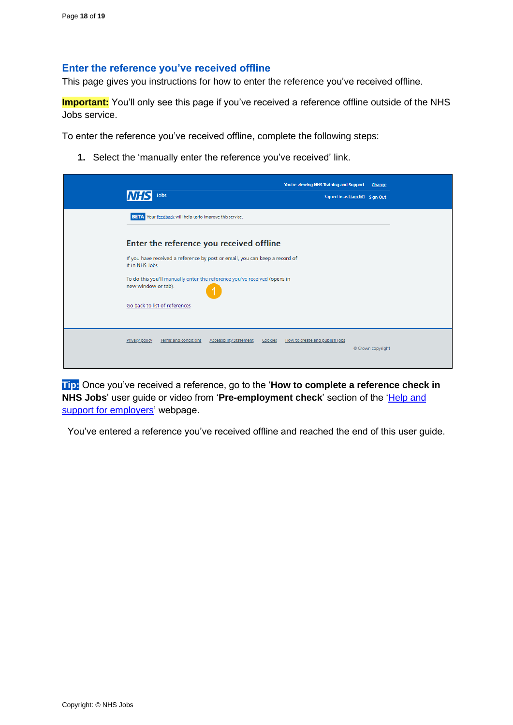## <span id="page-17-0"></span>**Enter the reference you've received offline**

This page gives you instructions for how to enter the reference you've received offline.

**Important:** You'll only see this page if you've received a reference offline outside of the NHS Jobs service.

To enter the reference you've received offline, complete the following steps:

**1.** Select the 'manually enter the reference you've received' link.

| Jobs                                                                                                                    | You're viewing NHS Training and Support | Change<br>Signed in as Liam M1 Sign Out |
|-------------------------------------------------------------------------------------------------------------------------|-----------------------------------------|-----------------------------------------|
| <b>BETA</b> Your feedback will help us to improve this service.                                                         |                                         |                                         |
| Enter the reference you received offline<br>If you have received a reference by post or email, you can keep a record of |                                         |                                         |
| it in NHS Jobs.<br>To do this you'll manually enter the reference you've received (opens in<br>new window or tab).      |                                         |                                         |
| Go back to list of references                                                                                           |                                         |                                         |
| Privacy policy<br>Terms and conditions<br><b>Accessibility Statement</b><br>Cookies                                     | How to create and publish jobs          | © Crown copyright                       |

**Tip:** Once you've received a reference, go to the '**How to complete a reference check in NHS Jobs'** user guide or video from 'Pre-employment check' section of the 'Help and [support for employers'](https://www.nhsbsa.nhs.uk/new-nhs-jobs-service/help-and-support-employers) webpage.

You've entered a reference you've received offline and reached the end of this user guide.